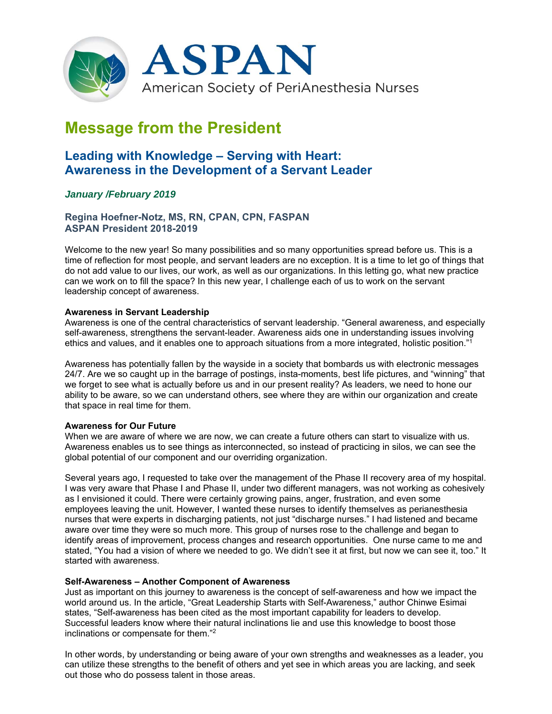

# **Message from the President**

# **Leading with Knowledge – Serving with Heart: Awareness in the Development of a Servant Leader**

# *January /February 2019*

## **Regina Hoefner-Notz, MS, RN, CPAN, CPN, FASPAN ASPAN President 2018-2019**

Welcome to the new year! So many possibilities and so many opportunities spread before us. This is a time of reflection for most people, and servant leaders are no exception. It is a time to let go of things that do not add value to our lives, our work, as well as our organizations. In this letting go, what new practice can we work on to fill the space? In this new year, I challenge each of us to work on the servant leadership concept of awareness.

#### **Awareness in Servant Leadership**

Awareness is one of the central characteristics of servant leadership. "General awareness, and especially self-awareness, strengthens the servant-leader. Awareness aids one in understanding issues involving ethics and values, and it enables one to approach situations from a more integrated, holistic position."1

Awareness has potentially fallen by the wayside in a society that bombards us with electronic messages 24/7. Are we so caught up in the barrage of postings, insta-moments, best life pictures, and "winning" that we forget to see what is actually before us and in our present reality? As leaders, we need to hone our ability to be aware, so we can understand others, see where they are within our organization and create that space in real time for them.

### **Awareness for Our Future**

When we are aware of where we are now, we can create a future others can start to visualize with us. Awareness enables us to see things as interconnected, so instead of practicing in silos, we can see the global potential of our component and our overriding organization.

Several years ago, I requested to take over the management of the Phase II recovery area of my hospital. I was very aware that Phase I and Phase II, under two different managers, was not working as cohesively as I envisioned it could. There were certainly growing pains, anger, frustration, and even some employees leaving the unit. However, I wanted these nurses to identify themselves as perianesthesia nurses that were experts in discharging patients, not just "discharge nurses." I had listened and became aware over time they were so much more. This group of nurses rose to the challenge and began to identify areas of improvement, process changes and research opportunities. One nurse came to me and stated, "You had a vision of where we needed to go. We didn't see it at first, but now we can see it, too." It started with awareness.

#### **Self-Awareness – Another Component of Awareness**

Just as important on this journey to awareness is the concept of self-awareness and how we impact the world around us. In the article, "Great Leadership Starts with Self-Awareness," author Chinwe Esimai states, "Self-awareness has been cited as the most important capability for leaders to develop. Successful leaders know where their natural inclinations lie and use this knowledge to boost those inclinations or compensate for them."2

In other words, by understanding or being aware of your own strengths and weaknesses as a leader, you can utilize these strengths to the benefit of others and yet see in which areas you are lacking, and seek out those who do possess talent in those areas.